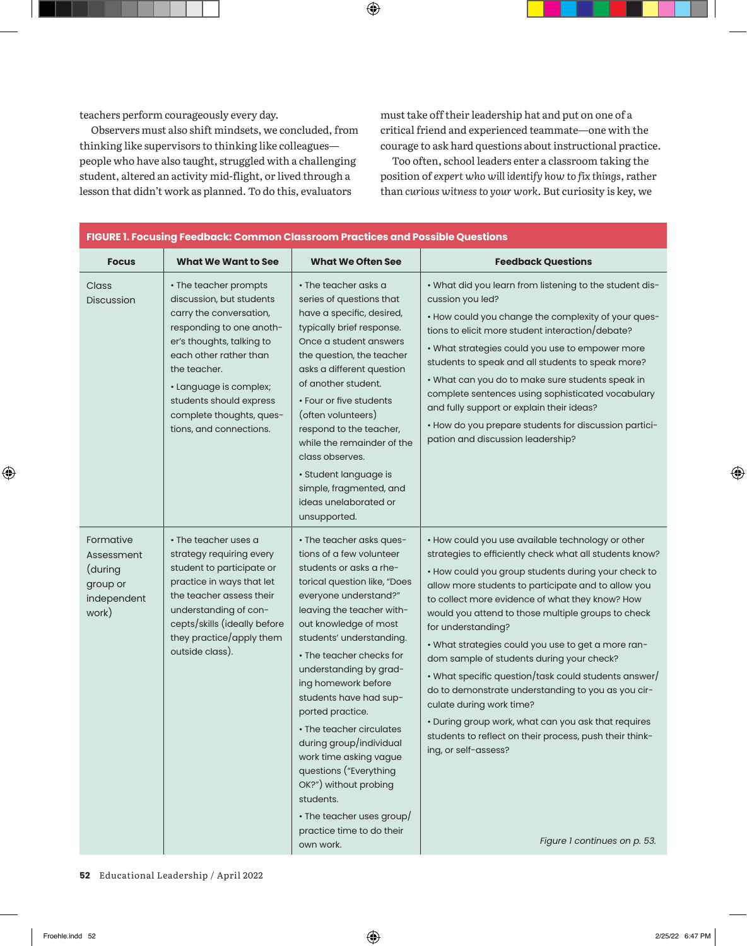| FIGURE 1. Focusing Feedback: Common Classroom Practices and Possible Questions |                                                                                                                                                                                                                                                                                             |                                                                                                                                                                                                                                                                                                                                                                                                                                                                                                                                                                               |                                                                                                                                                                                                                                                                                                                                                                                                                                                                                                                                                                                                                                                                                                                                                                                  |  |  |  |  |
|--------------------------------------------------------------------------------|---------------------------------------------------------------------------------------------------------------------------------------------------------------------------------------------------------------------------------------------------------------------------------------------|-------------------------------------------------------------------------------------------------------------------------------------------------------------------------------------------------------------------------------------------------------------------------------------------------------------------------------------------------------------------------------------------------------------------------------------------------------------------------------------------------------------------------------------------------------------------------------|----------------------------------------------------------------------------------------------------------------------------------------------------------------------------------------------------------------------------------------------------------------------------------------------------------------------------------------------------------------------------------------------------------------------------------------------------------------------------------------------------------------------------------------------------------------------------------------------------------------------------------------------------------------------------------------------------------------------------------------------------------------------------------|--|--|--|--|
| <b>Focus</b>                                                                   | <b>What We Want to See</b>                                                                                                                                                                                                                                                                  | <b>What We Often See</b>                                                                                                                                                                                                                                                                                                                                                                                                                                                                                                                                                      | <b>Feedback Questions</b>                                                                                                                                                                                                                                                                                                                                                                                                                                                                                                                                                                                                                                                                                                                                                        |  |  |  |  |
| Class<br>Discussion                                                            | • The teacher prompts<br>discussion, but students<br>carry the conversation,<br>responding to one anoth-<br>er's thoughts, talking to<br>each other rather than<br>the teacher.<br>· Language is complex;<br>students should express<br>complete thoughts, ques-<br>tions, and connections. | • The teacher asks a<br>series of questions that<br>have a specific, desired,<br>typically brief response.<br>Once a student answers<br>the question, the teacher<br>asks a different question<br>of another student.<br>• Four or five students<br>(often volunteers)<br>respond to the teacher,<br>while the remainder of the<br>class observes.<br>· Student language is<br>simple, fragmented, and<br>ideas unelaborated or<br>unsupported.                                                                                                                               | • What did you learn from listening to the student dis-<br>cussion you led?<br>. How could you change the complexity of your ques-<br>tions to elicit more student interaction/debate?<br>• What strategies could you use to empower more<br>students to speak and all students to speak more?<br>. What can you do to make sure students speak in<br>complete sentences using sophisticated vocabulary<br>and fully support or explain their ideas?<br>• How do you prepare students for discussion partici-<br>pation and discussion leadership?                                                                                                                                                                                                                               |  |  |  |  |
| Formative<br>Assessment<br>(during<br>group or<br>independent<br>work)         | $\cdot$ The teacher uses a<br>strategy requiring every<br>student to participate or<br>practice in ways that let<br>the teacher assess their<br>understanding of con-<br>cepts/skills (ideally before<br>they practice/apply them<br>outside class).                                        | • The teacher asks ques-<br>tions of a few volunteer<br>students or asks a rhe-<br>torical question like, "Does<br>everyone understand?"<br>leaving the teacher with-<br>out knowledge of most<br>students' understanding.<br>• The teacher checks for<br>understanding by grad-<br>ing homework before<br>students have had sup-<br>ported practice.<br>• The teacher circulates<br>during group/individual<br>work time asking vague<br>questions ("Everything<br>OK?") without probing<br>students.<br>• The teacher uses group/<br>practice time to do their<br>own work. | . How could you use available technology or other<br>strategies to efficiently check what all students know?<br>• How could you group students during your check to<br>allow more students to participate and to allow you<br>to collect more evidence of what they know? How<br>would you attend to those multiple groups to check<br>for understanding?<br>• What strategies could you use to get a more ran-<br>dom sample of students during your check?<br>• What specific question/task could students answer/<br>do to demonstrate understanding to you as you cir-<br>culate during work time?<br>. During group work, what can you ask that requires<br>students to reflect on their process, push their think-<br>ing, or self-assess?<br>Figure 1 continues on p. 53. |  |  |  |  |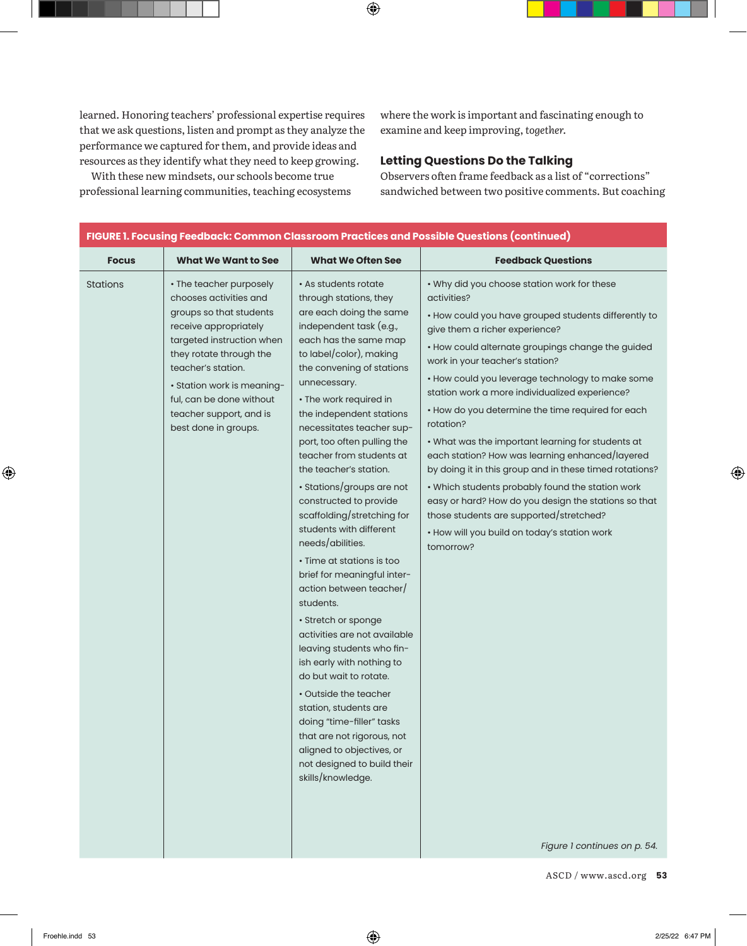| FIGURE 1. Focusing Feedback: Common Classroom Practices and Possible Questions (continued) |                                                                                                                                                                                                                                                                                                  |                                                                                                                                                                                                                                                                                                                                                                                                                                                                                                                                                                                                                                                                                                                                                                                                                                                                                                                                                                |                                                                                                                                                                                                                                                                                                                                                                                                                                                                                                                                                                                                                                                                                                                                                                                                             |  |  |  |  |
|--------------------------------------------------------------------------------------------|--------------------------------------------------------------------------------------------------------------------------------------------------------------------------------------------------------------------------------------------------------------------------------------------------|----------------------------------------------------------------------------------------------------------------------------------------------------------------------------------------------------------------------------------------------------------------------------------------------------------------------------------------------------------------------------------------------------------------------------------------------------------------------------------------------------------------------------------------------------------------------------------------------------------------------------------------------------------------------------------------------------------------------------------------------------------------------------------------------------------------------------------------------------------------------------------------------------------------------------------------------------------------|-------------------------------------------------------------------------------------------------------------------------------------------------------------------------------------------------------------------------------------------------------------------------------------------------------------------------------------------------------------------------------------------------------------------------------------------------------------------------------------------------------------------------------------------------------------------------------------------------------------------------------------------------------------------------------------------------------------------------------------------------------------------------------------------------------------|--|--|--|--|
| <b>Focus</b>                                                                               | <b>What We Want to See</b>                                                                                                                                                                                                                                                                       | <b>What We Often See</b>                                                                                                                                                                                                                                                                                                                                                                                                                                                                                                                                                                                                                                                                                                                                                                                                                                                                                                                                       | <b>Feedback Questions</b>                                                                                                                                                                                                                                                                                                                                                                                                                                                                                                                                                                                                                                                                                                                                                                                   |  |  |  |  |
| Stations                                                                                   | • The teacher purposely<br>chooses activities and<br>groups so that students<br>receive appropriately<br>targeted instruction when<br>they rotate through the<br>teacher's station.<br>• Station work is meaning-<br>ful, can be done without<br>teacher support, and is<br>best done in groups. | • As students rotate<br>through stations, they<br>are each doing the same<br>independent task (e.g.,<br>each has the same map<br>to label/color), making<br>the convening of stations<br>unnecessary.<br>• The work required in<br>the independent stations<br>necessitates teacher sup-<br>port, too often pulling the<br>teacher from students at<br>the teacher's station.<br>· Stations/groups are not<br>constructed to provide<br>scaffolding/stretching for<br>students with different<br>needs/abilities.<br>• Time at stations is too<br>brief for meaningful inter-<br>action between teacher/<br>students.<br>• Stretch or sponge<br>activities are not available<br>leaving students who fin-<br>ish early with nothing to<br>do but wait to rotate.<br>• Outside the teacher<br>station, students are<br>doing "time-filler" tasks<br>that are not rigorous, not<br>aligned to objectives, or<br>not designed to build their<br>skills/knowledge. | . Why did you choose station work for these<br>activities?<br>• How could you have grouped students differently to<br>give them a richer experience?<br>• How could alternate groupings change the guided<br>work in your teacher's station?<br>• How could you leverage technology to make some<br>station work a more individualized experience?<br>• How do you determine the time required for each<br>rotation?<br>. What was the important learning for students at<br>each station? How was learning enhanced/layered<br>by doing it in this group and in these timed rotations?<br>. Which students probably found the station work<br>easy or hard? How do you design the stations so that<br>those students are supported/stretched?<br>• How will you build on today's station work<br>tomorrow? |  |  |  |  |